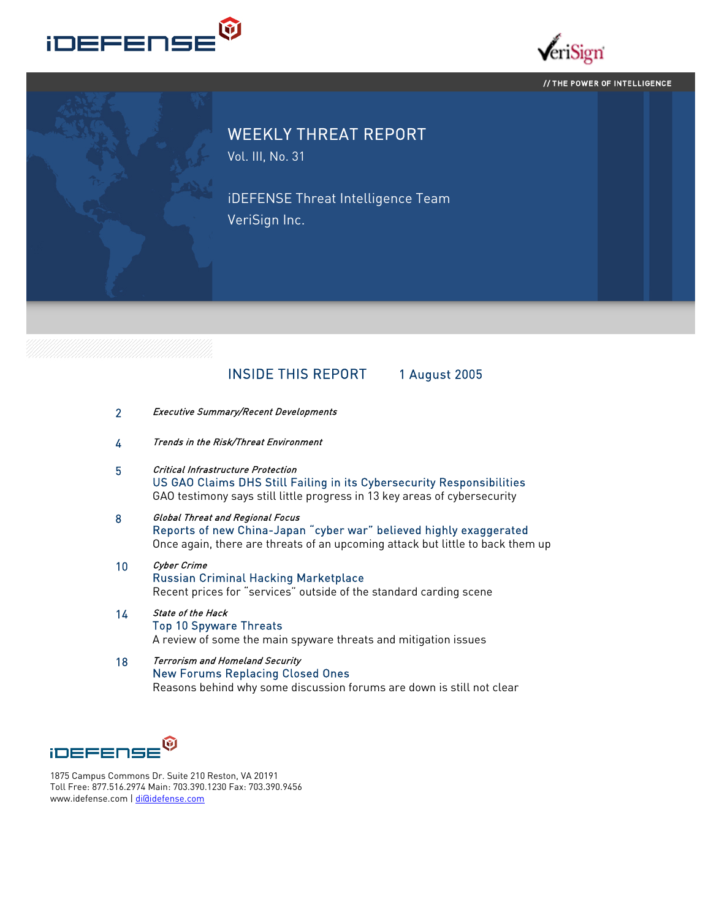



#### // THE POWER OF INTELLIGENCE



# WEEKLY THREAT REPORT

Vol. III, No. 31

iDEFENSE Threat Intelligence Team VeriSign Inc.

# INSIDE THIS REPORT 1 August 2005

- 2 Executive Summary/Recent Developments
- 4 Trends in the Risk/Threat Environment
- 5 Critical Infrastructure Protection US GAO Claims DHS Still Failing in its Cybersecurity Responsibilities GAO testimony says still little progress in 13 key areas of cybersecurity
- 8 Global Threat and Regional Focus Reports of new China-Japan "cyber war" believed highly exaggerated Once again, there are threats of an upcoming attack but little to back them up
- 10 Cyber Crime Russian Criminal Hacking Marketplace Recent prices for "services" outside of the standard carding scene
- 14 State of the Hack Top 10 Spyware Threats A review of some the main spyware threats and mitigation issues
- 18 Terrorism and Homeland Security New Forums Replacing Closed Ones Reasons behind why some discussion forums are down is still not clear



1875 Campus Commons Dr. Suite 210 Reston, VA 20191 Toll Free: 877.516.2974 Main: 703.390.1230 Fax: 703.390.9456 www.idefense.com | di@idefense.com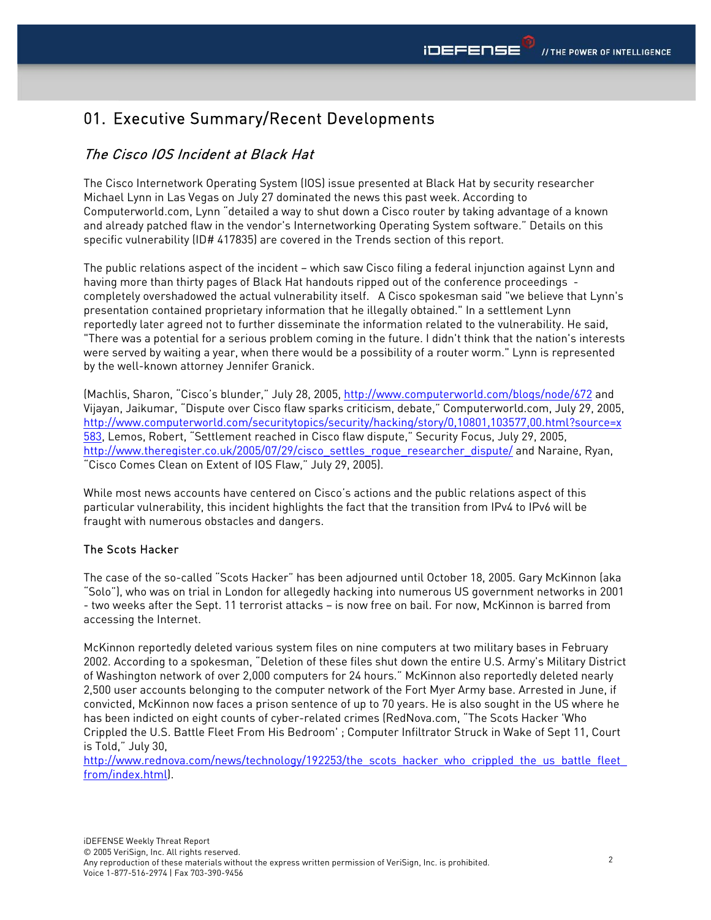# 01. Executive Summary/Recent Developments

# The Cisco IOS Incident at Black Hat

The Cisco Internetwork Operating System (IOS) issue presented at Black Hat by security researcher Michael Lynn in Las Vegas on July 27 dominated the news this past week. According to Computerworld.com, Lynn "detailed a way to shut down a Cisco router by taking advantage of a known and already patched flaw in the vendor's Internetworking Operating System software." Details on this specific vulnerability (ID# 417835) are covered in the Trends section of this report.

The public relations aspect of the incident – which saw Cisco filing a federal injunction against Lynn and having more than thirty pages of Black Hat handouts ripped out of the conference proceedings completely overshadowed the actual vulnerability itself. A Cisco spokesman said "we believe that Lynn's presentation contained proprietary information that he illegally obtained." In a settlement Lynn reportedly later agreed not to further disseminate the information related to the vulnerability. He said, "There was a potential for a serious problem coming in the future. I didn't think that the nation's interests were served by waiting a year, when there would be a possibility of a router worm." Lynn is represented by the well-known attorney Jennifer Granick.

(Machlis, Sharon, "Cisco's blunder," July 28, 2005, http://www.computerworld.com/blogs/node/672 and Vijayan, Jaikumar, "Dispute over Cisco flaw sparks criticism, debate," Computerworld.com, July 29, 2005, http://www.computerworld.com/securitytopics/security/hacking/story/0,10801,103577,00.html?source=x 583, Lemos, Robert, "Settlement reached in Cisco flaw dispute," Security Focus, July 29, 2005, http://www.theregister.co.uk/2005/07/29/cisco\_settles\_rogue\_researcher\_dispute/ and Naraine, Ryan, "Cisco Comes Clean on Extent of IOS Flaw," July 29, 2005).

While most news accounts have centered on Cisco's actions and the public relations aspect of this particular vulnerability, this incident highlights the fact that the transition from IPv4 to IPv6 will be fraught with numerous obstacles and dangers.

## The Scots Hacker

The case of the so-called "Scots Hacker" has been adjourned until October 18, 2005. Gary McKinnon (aka "Solo"), who was on trial in London for allegedly hacking into numerous US government networks in 2001 - two weeks after the Sept. 11 terrorist attacks – is now free on bail. For now, McKinnon is barred from accessing the Internet.

McKinnon reportedly deleted various system files on nine computers at two military bases in February 2002. According to a spokesman, "Deletion of these files shut down the entire U.S. Army's Military District of Washington network of over 2,000 computers for 24 hours." McKinnon also reportedly deleted nearly 2,500 user accounts belonging to the computer network of the Fort Myer Army base. Arrested in June, if convicted, McKinnon now faces a prison sentence of up to 70 years. He is also sought in the US where he has been indicted on eight counts of cyber-related crimes (RedNova.com, "The Scots Hacker 'Who Crippled the U.S. Battle Fleet From His Bedroom' ; Computer Infiltrator Struck in Wake of Sept 11, Court is Told," July 30,

http://www.rednova.com/news/technology/192253/the\_scots\_hacker\_who\_crippled\_the\_us\_battle\_fleet\_ from/index.html).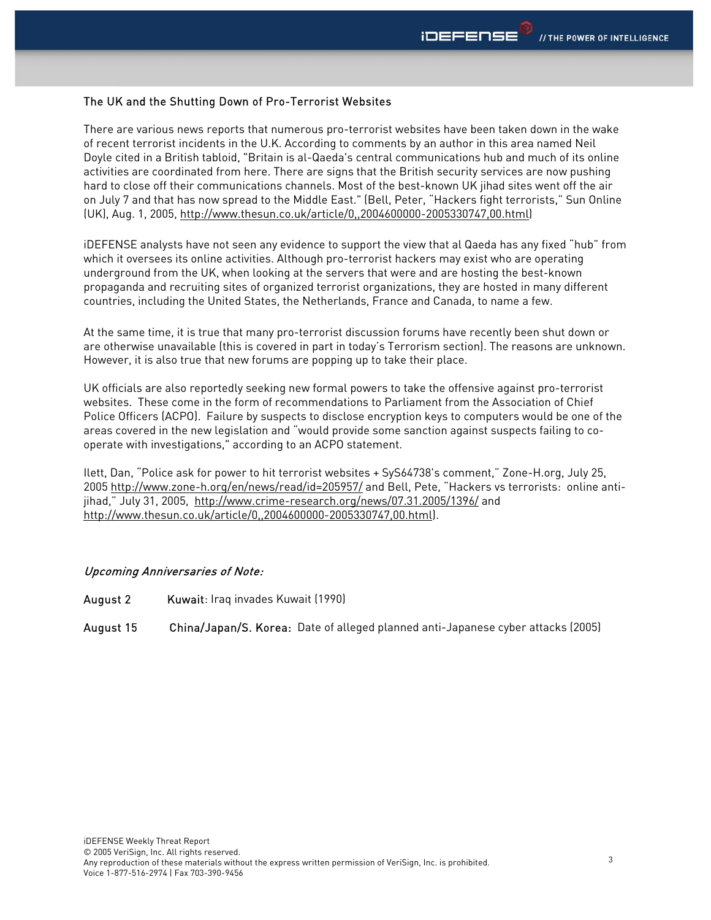#### The UK and the Shutting Down of Pro-Terrorist Websites

There are various news reports that numerous pro-terrorist websites have been taken down in the wake of recent terrorist incidents in the U.K. According to comments by an author in this area named Neil Doyle cited in a British tabloid, "Britain is al-Qaeda's central communications hub and much of its online activities are coordinated from here. There are signs that the British security services are now pushing hard to close off their communications channels. Most of the best-known UK jihad sites went off the air on July 7 and that has now spread to the Middle East." (Bell, Peter, "Hackers fight terrorists," Sun Online (UK), Aug. 1, 2005, http://www.thesun.co.uk/article/0,,2004600000-2005330747,00.html)

iDEFENSE analysts have not seen any evidence to support the view that al Qaeda has any fixed "hub" from which it oversees its online activities. Although pro-terrorist hackers may exist who are operating underground from the UK, when looking at the servers that were and are hosting the best-known propaganda and recruiting sites of organized terrorist organizations, they are hosted in many different countries, including the United States, the Netherlands, France and Canada, to name a few.

At the same time, it is true that many pro-terrorist discussion forums have recently been shut down or are otherwise unavailable (this is covered in part in today's Terrorism section). The reasons are unknown. However, it is also true that new forums are popping up to take their place.

UK officials are also reportedly seeking new formal powers to take the offensive against pro-terrorist websites. These come in the form of recommendations to Parliament from the Association of Chief Police Officers (ACPO). Failure by suspects to disclose encryption keys to computers would be one of the areas covered in the new legislation and "would provide some sanction against suspects failing to cooperate with investigations," according to an ACPO statement.

Ilett, Dan, "Police ask for power to hit terrorist websites + SyS64738's comment," Zone-H.org, July 25, 2005 http://www.zone-h.org/en/news/read/id=205957/ and Bell, Pete, "Hackers vs terrorists: online antijihad," July 31, 2005, http://www.crime-research.org/news/07.31.2005/1396/ and http://www.thesun.co.uk/article/0,,2004600000-2005330747,00.html).

#### Upcoming Anniversaries of Note:

August 2 Kuwait: Iraq invades Kuwait (1990)

August 15 China/Japan/S. Korea: Date of alleged planned anti-Japanese cyber attacks (2005)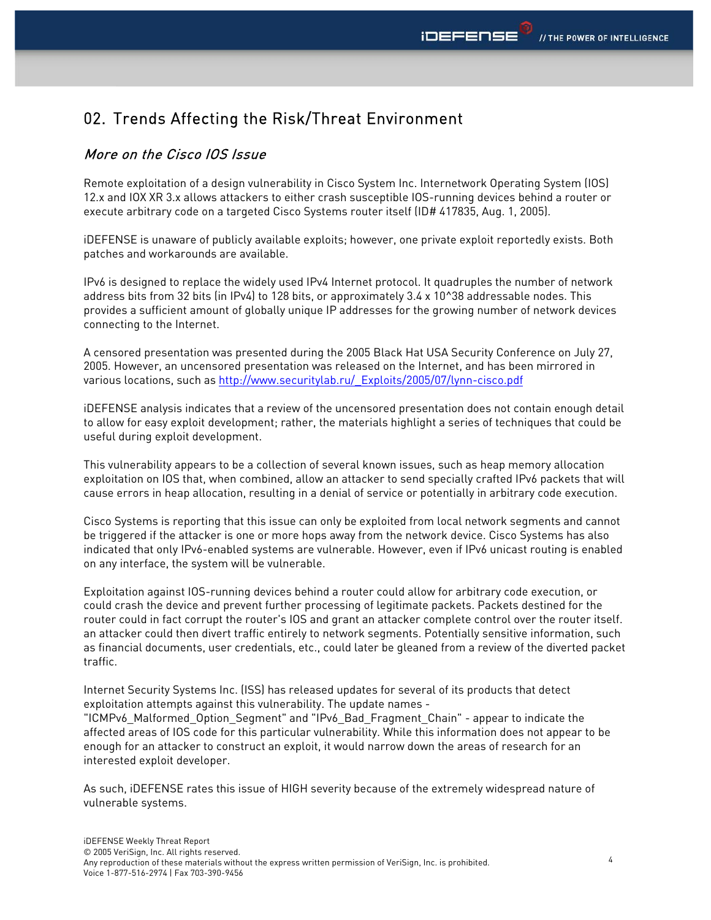# 02. Trends Affecting the Risk/Threat Environment

# More on the Cisco IOS Issue

Remote exploitation of a design vulnerability in Cisco System Inc. Internetwork Operating System (IOS) 12.x and IOX XR 3.x allows attackers to either crash susceptible IOS-running devices behind a router or execute arbitrary code on a targeted Cisco Systems router itself (ID# 417835, Aug. 1, 2005).

iDEFENSE is unaware of publicly available exploits; however, one private exploit reportedly exists. Both patches and workarounds are available.

IPv6 is designed to replace the widely used IPv4 Internet protocol. It quadruples the number of network address bits from 32 bits (in IPv4) to 128 bits, or approximately 3.4 x 10^38 addressable nodes. This provides a sufficient amount of globally unique IP addresses for the growing number of network devices connecting to the Internet.

A censored presentation was presented during the 2005 Black Hat USA Security Conference on July 27, 2005. However, an uncensored presentation was released on the Internet, and has been mirrored in various locations, such as http://www.securitylab.ru/\_Exploits/2005/07/lynn-cisco.pdf

iDEFENSE analysis indicates that a review of the uncensored presentation does not contain enough detail to allow for easy exploit development; rather, the materials highlight a series of techniques that could be useful during exploit development.

This vulnerability appears to be a collection of several known issues, such as heap memory allocation exploitation on IOS that, when combined, allow an attacker to send specially crafted IPv6 packets that will cause errors in heap allocation, resulting in a denial of service or potentially in arbitrary code execution.

Cisco Systems is reporting that this issue can only be exploited from local network segments and cannot be triggered if the attacker is one or more hops away from the network device. Cisco Systems has also indicated that only IPv6-enabled systems are vulnerable. However, even if IPv6 unicast routing is enabled on any interface, the system will be vulnerable.

Exploitation against IOS-running devices behind a router could allow for arbitrary code execution, or could crash the device and prevent further processing of legitimate packets. Packets destined for the router could in fact corrupt the router's IOS and grant an attacker complete control over the router itself. an attacker could then divert traffic entirely to network segments. Potentially sensitive information, such as financial documents, user credentials, etc., could later be gleaned from a review of the diverted packet traffic.

Internet Security Systems Inc. (ISS) has released updates for several of its products that detect exploitation attempts against this vulnerability. The update names -

"ICMPv6\_Malformed\_Option\_Segment" and "IPv6\_Bad\_Fragment\_Chain" - appear to indicate the affected areas of IOS code for this particular vulnerability. While this information does not appear to be enough for an attacker to construct an exploit, it would narrow down the areas of research for an interested exploit developer.

As such, iDEFENSE rates this issue of HIGH severity because of the extremely widespread nature of vulnerable systems.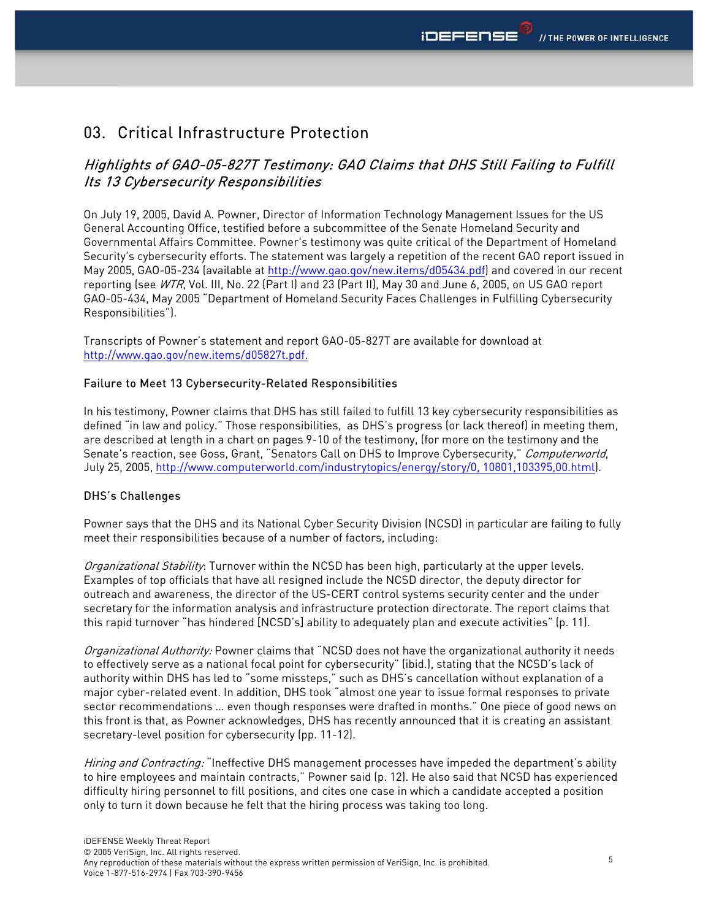# 03. Critical Infrastructure Protection

# Highlights of GAO-05-827T Testimony: GAO Claims that DHS Still Failing to Fulfill Its 13 Cybersecurity Responsibilities

On July 19, 2005, David A. Powner, Director of Information Technology Management Issues for the US General Accounting Office, testified before a subcommittee of the Senate Homeland Security and Governmental Affairs Committee. Powner's testimony was quite critical of the Department of Homeland Security's cybersecurity efforts. The statement was largely a repetition of the recent GAO report issued in May 2005, GAO-05-234 (available at http://www.gao.gov/new.items/d05434.pdf) and covered in our recent reporting (see WTR, Vol. III, No. 22 (Part I) and 23 (Part II), May 30 and June 6, 2005, on US GAO report GAO-05-434, May 2005 "Department of Homeland Security Faces Challenges in Fulfilling Cybersecurity Responsibilities").

Transcripts of Powner's statement and report GAO-05-827T are available for download at http://www.gao.gov/new.items/d05827t.pdf.

#### Failure to Meet 13 Cybersecurity-Related Responsibilities

In his testimony, Powner claims that DHS has still failed to fulfill 13 key cybersecurity responsibilities as defined "in law and policy." Those responsibilities, as DHS's progress (or lack thereof) in meeting them, are described at length in a chart on pages 9-10 of the testimony, (for more on the testimony and the Senate's reaction, see Goss, Grant, "Senators Call on DHS to Improve Cybersecurity," Computerworld, July 25, 2005, http://www.computerworld.com/industrytopics/energy/story/0, 10801,103395,00.html).

#### DHS's Challenges

Powner says that the DHS and its National Cyber Security Division (NCSD) in particular are failing to fully meet their responsibilities because of a number of factors, including:

Organizational Stability: Turnover within the NCSD has been high, particularly at the upper levels. Examples of top officials that have all resigned include the NCSD director, the deputy director for outreach and awareness, the director of the US-CERT control systems security center and the under secretary for the information analysis and infrastructure protection directorate. The report claims that this rapid turnover "has hindered [NCSD's] ability to adequately plan and execute activities" (p. 11).

Organizational Authority: Powner claims that "NCSD does not have the organizational authority it needs to effectively serve as a national focal point for cybersecurity" (ibid.), stating that the NCSD's lack of authority within DHS has led to "some missteps," such as DHS's cancellation without explanation of a major cyber-related event. In addition, DHS took "almost one year to issue formal responses to private sector recommendations … even though responses were drafted in months." One piece of good news on this front is that, as Powner acknowledges, DHS has recently announced that it is creating an assistant secretary-level position for cybersecurity (pp. 11-12).

Hiring and Contracting: "Ineffective DHS management processes have impeded the department's ability to hire employees and maintain contracts," Powner said (p. 12). He also said that NCSD has experienced difficulty hiring personnel to fill positions, and cites one case in which a candidate accepted a position only to turn it down because he felt that the hiring process was taking too long.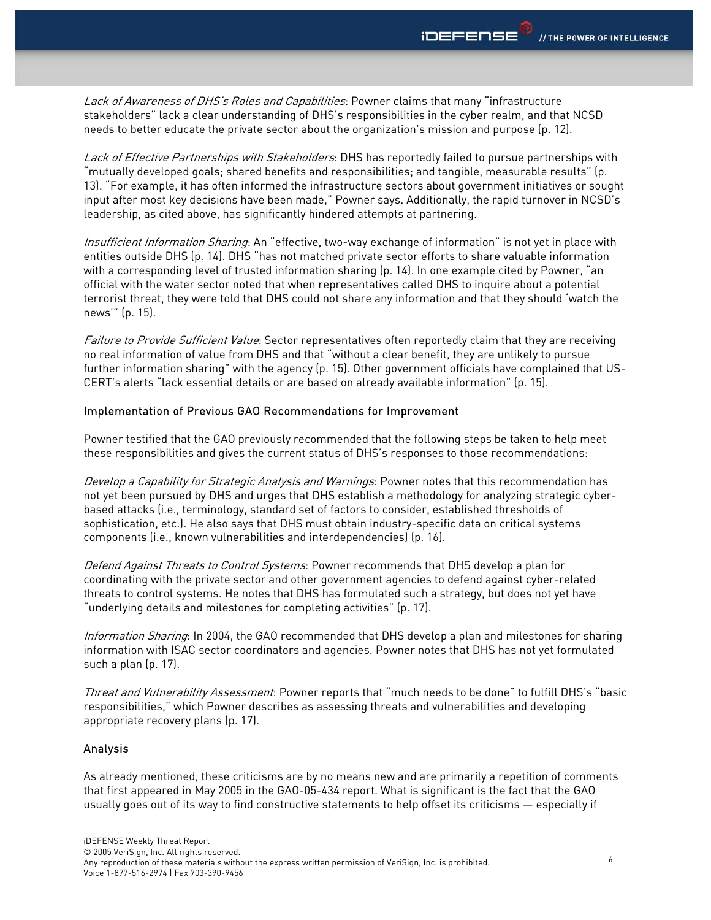Lack of Awareness of DHS's Roles and Capabilities: Powner claims that many "infrastructure stakeholders" lack a clear understanding of DHS's responsibilities in the cyber realm, and that NCSD needs to better educate the private sector about the organization's mission and purpose (p. 12).

Lack of Effective Partnerships with Stakeholders: DHS has reportedly failed to pursue partnerships with "mutually developed goals; shared benefits and responsibilities; and tangible, measurable results" (p. 13). "For example, it has often informed the infrastructure sectors about government initiatives or sought input after most key decisions have been made," Powner says. Additionally, the rapid turnover in NCSD's leadership, as cited above, has significantly hindered attempts at partnering.

Insufficient Information Sharing: An "effective, two-way exchange of information" is not yet in place with entities outside DHS (p. 14). DHS "has not matched private sector efforts to share valuable information with a corresponding level of trusted information sharing (p. 14). In one example cited by Powner, "an official with the water sector noted that when representatives called DHS to inquire about a potential terrorist threat, they were told that DHS could not share any information and that they should 'watch the news'" (p. 15).

Failure to Provide Sufficient Value: Sector representatives often reportedly claim that they are receiving no real information of value from DHS and that "without a clear benefit, they are unlikely to pursue further information sharing" with the agency (p. 15). Other government officials have complained that US-CERT's alerts "lack essential details or are based on already available information" (p. 15).

#### Implementation of Previous GAO Recommendations for Improvement

Powner testified that the GAO previously recommended that the following steps be taken to help meet these responsibilities and gives the current status of DHS's responses to those recommendations:

Develop a Capability for Strategic Analysis and Warnings: Powner notes that this recommendation has not yet been pursued by DHS and urges that DHS establish a methodology for analyzing strategic cyberbased attacks (i.e., terminology, standard set of factors to consider, established thresholds of sophistication, etc.). He also says that DHS must obtain industry-specific data on critical systems components (i.e., known vulnerabilities and interdependencies) (p. 16).

Defend Against Threats to Control Systems: Powner recommends that DHS develop a plan for coordinating with the private sector and other government agencies to defend against cyber-related threats to control systems. He notes that DHS has formulated such a strategy, but does not yet have "underlying details and milestones for completing activities" (p. 17).

Information Sharing: In 2004, the GAO recommended that DHS develop a plan and milestones for sharing information with ISAC sector coordinators and agencies. Powner notes that DHS has not yet formulated such a plan (p. 17).

Threat and Vulnerability Assessment: Powner reports that "much needs to be done" to fulfill DHS's "basic responsibilities," which Powner describes as assessing threats and vulnerabilities and developing appropriate recovery plans (p. 17).

#### Analysis

As already mentioned, these criticisms are by no means new and are primarily a repetition of comments that first appeared in May 2005 in the GAO-05-434 report. What is significant is the fact that the GAO usually goes out of its way to find constructive statements to help offset its criticisms — especially if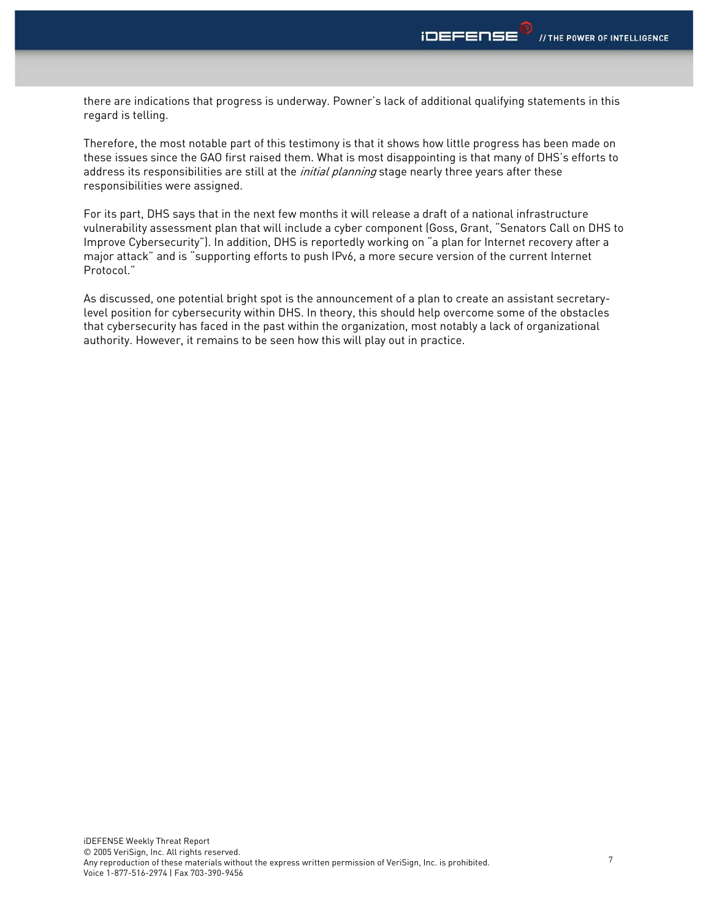there are indications that progress is underway. Powner's lack of additional qualifying statements in this regard is telling.

Therefore, the most notable part of this testimony is that it shows how little progress has been made on these issues since the GAO first raised them. What is most disappointing is that many of DHS's efforts to address its responsibilities are still at the *initial planning* stage nearly three years after these responsibilities were assigned.

For its part, DHS says that in the next few months it will release a draft of a national infrastructure vulnerability assessment plan that will include a cyber component (Goss, Grant, "Senators Call on DHS to Improve Cybersecurity"). In addition, DHS is reportedly working on "a plan for Internet recovery after a major attack" and is "supporting efforts to push IPv6, a more secure version of the current Internet Protocol."

As discussed, one potential bright spot is the announcement of a plan to create an assistant secretarylevel position for cybersecurity within DHS. In theory, this should help overcome some of the obstacles that cybersecurity has faced in the past within the organization, most notably a lack of organizational authority. However, it remains to be seen how this will play out in practice.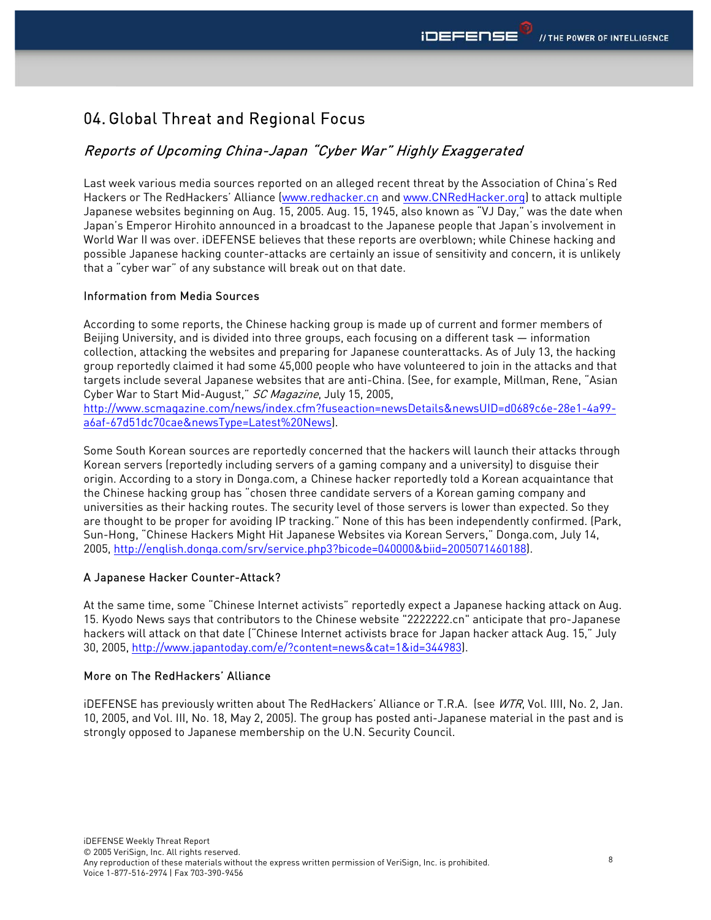# 04. Global Threat and Regional Focus

# Reports of Upcoming China-Japan "Cyber War" Highly Exaggerated

Last week various media sources reported on an alleged recent threat by the Association of China's Red Hackers or The RedHackers' Alliance (www.redhacker.cn and www.CNRedHacker.org) to attack multiple Japanese websites beginning on Aug. 15, 2005. Aug. 15, 1945, also known as "VJ Day," was the date when Japan's Emperor Hirohito announced in a broadcast to the Japanese people that Japan's involvement in World War II was over. iDEFENSE believes that these reports are overblown; while Chinese hacking and possible Japanese hacking counter-attacks are certainly an issue of sensitivity and concern, it is unlikely that a "cyber war" of any substance will break out on that date.

### Information from Media Sources

According to some reports, the Chinese hacking group is made up of current and former members of Beijing University, and is divided into three groups, each focusing on a different task — information collection, attacking the websites and preparing for Japanese counterattacks. As of July 13, the hacking group reportedly claimed it had some 45,000 people who have volunteered to join in the attacks and that targets include several Japanese websites that are anti-China. (See, for example, Millman, Rene, "Asian Cyber War to Start Mid-August," SC Magazine, July 15, 2005,

http://www.scmagazine.com/news/index.cfm?fuseaction=newsDetails&newsUID=d0689c6e-28e1-4a99 a6af-67d51dc70cae&newsType=Latest%20News).

Some South Korean sources are reportedly concerned that the hackers will launch their attacks through Korean servers (reportedly including servers of a gaming company and a university) to disguise their origin. According to a story in Donga.com, a Chinese hacker reportedly told a Korean acquaintance that the Chinese hacking group has "chosen three candidate servers of a Korean gaming company and universities as their hacking routes. The security level of those servers is lower than expected. So they are thought to be proper for avoiding IP tracking." None of this has been independently confirmed. (Park, Sun-Hong, "Chinese Hackers Might Hit Japanese Websites via Korean Servers," Donga.com, July 14, 2005, http://english.donga.com/srv/service.php3?bicode=040000&biid=2005071460188).

## A Japanese Hacker Counter-Attack?

At the same time, some "Chinese Internet activists" reportedly expect a Japanese hacking attack on Aug. 15. Kyodo News says that contributors to the Chinese website "2222222.cn" anticipate that pro-Japanese hackers will attack on that date ("Chinese Internet activists brace for Japan hacker attack Aug. 15," July 30, 2005, http://www.japantoday.com/e/?content=news&cat=1&id=344983).

## More on The RedHackers' Alliance

iDEFENSE has previously written about The RedHackers' Alliance or T.R.A. (see WTR, Vol. IIII, No. 2, Jan. 10, 2005, and Vol. III, No. 18, May 2, 2005). The group has posted anti-Japanese material in the past and is strongly opposed to Japanese membership on the U.N. Security Council.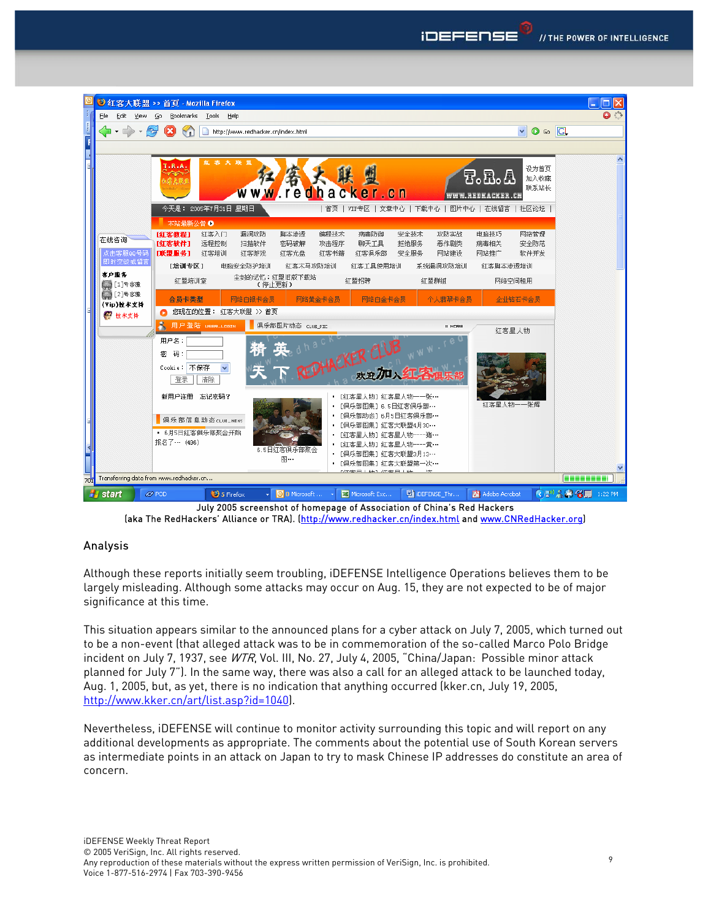

July 2005 screenshot of homepage of Association of China's Red Hackers (aka The RedHackers' Alliance or TRA). (http://www.redhacker.cn/index.html and www.CNRedHacker.org)

## Analysis

Although these reports initially seem troubling, iDEFENSE Intelligence Operations believes them to be largely misleading. Although some attacks may occur on Aug. 15, they are not expected to be of major significance at this time.

This situation appears similar to the announced plans for a cyber attack on July 7, 2005, which turned out to be a non-event (that alleged attack was to be in commemoration of the so-called Marco Polo Bridge incident on July 7, 1937, see WTR, Vol. III, No. 27, July 4, 2005, "China/Japan: Possible minor attack planned for July 7"). In the same way, there was also a call for an alleged attack to be launched today, Aug. 1, 2005, but, as yet, there is no indication that anything occurred (kker.cn, July 19, 2005, http://www.kker.cn/art/list.asp?id=1040).

Nevertheless, iDEFENSE will continue to monitor activity surrounding this topic and will report on any additional developments as appropriate. The comments about the potential use of South Korean servers as intermediate points in an attack on Japan to try to mask Chinese IP addresses do constitute an area of concern.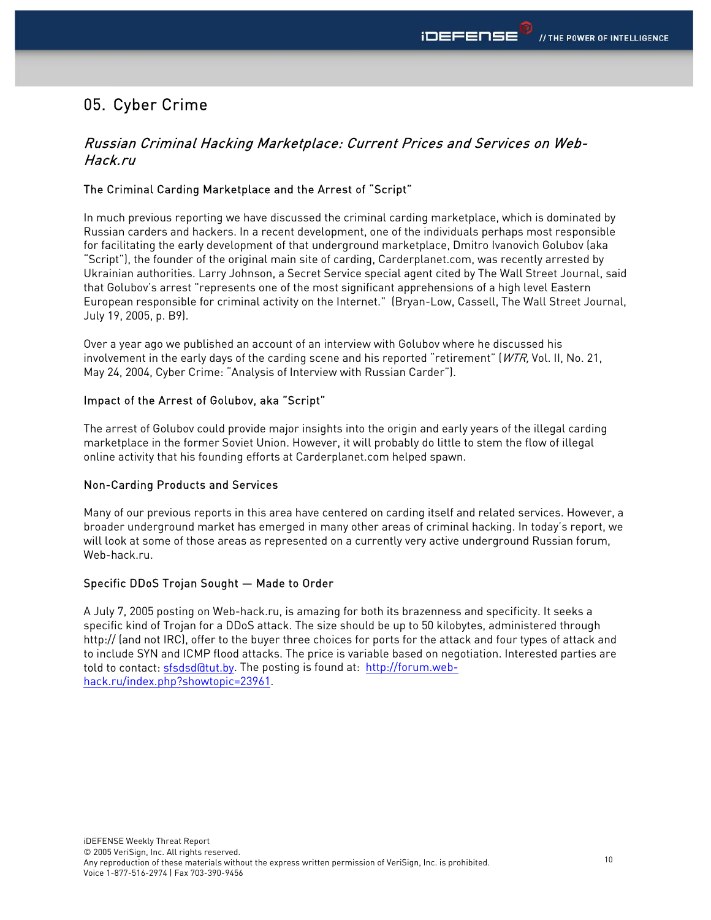# 05. Cyber Crime

# Russian Criminal Hacking Marketplace: Current Prices and Services on Web-Hack.ru

## The Criminal Carding Marketplace and the Arrest of "Script"

In much previous reporting we have discussed the criminal carding marketplace, which is dominated by Russian carders and hackers. In a recent development, one of the individuals perhaps most responsible for facilitating the early development of that underground marketplace, Dmitro Ivanovich Golubov (aka "Script"), the founder of the original main site of carding, Carderplanet.com, was recently arrested by Ukrainian authorities. Larry Johnson, a Secret Service special agent cited by The Wall Street Journal, said that Golubov's arrest "represents one of the most significant apprehensions of a high level Eastern European responsible for criminal activity on the Internet." (Bryan-Low, Cassell, The Wall Street Journal, July 19, 2005, p. B9).

Over a year ago we published an account of an interview with Golubov where he discussed his involvement in the early days of the carding scene and his reported "retirement" (WTR, Vol. II, No. 21, May 24, 2004, Cyber Crime: "Analysis of Interview with Russian Carder").

## Impact of the Arrest of Golubov, aka "Script"

The arrest of Golubov could provide major insights into the origin and early years of the illegal carding marketplace in the former Soviet Union. However, it will probably do little to stem the flow of illegal online activity that his founding efforts at Carderplanet.com helped spawn.

#### Non-Carding Products and Services

Many of our previous reports in this area have centered on carding itself and related services. However, a broader underground market has emerged in many other areas of criminal hacking. In today's report, we will look at some of those areas as represented on a currently very active underground Russian forum, Web-hack.ru.

#### Specific DDoS Trojan Sought — Made to Order

A July 7, 2005 posting on Web-hack.ru, is amazing for both its brazenness and specificity. It seeks a specific kind of Trojan for a DDoS attack. The size should be up to 50 kilobytes, administered through http:// (and not IRC), offer to the buyer three choices for ports for the attack and four types of attack and to include SYN and ICMP flood attacks. The price is variable based on negotiation. Interested parties are told to contact: sfsdsd@tut.by. The posting is found at: http://forum.webhack.ru/index.php?showtopic=23961.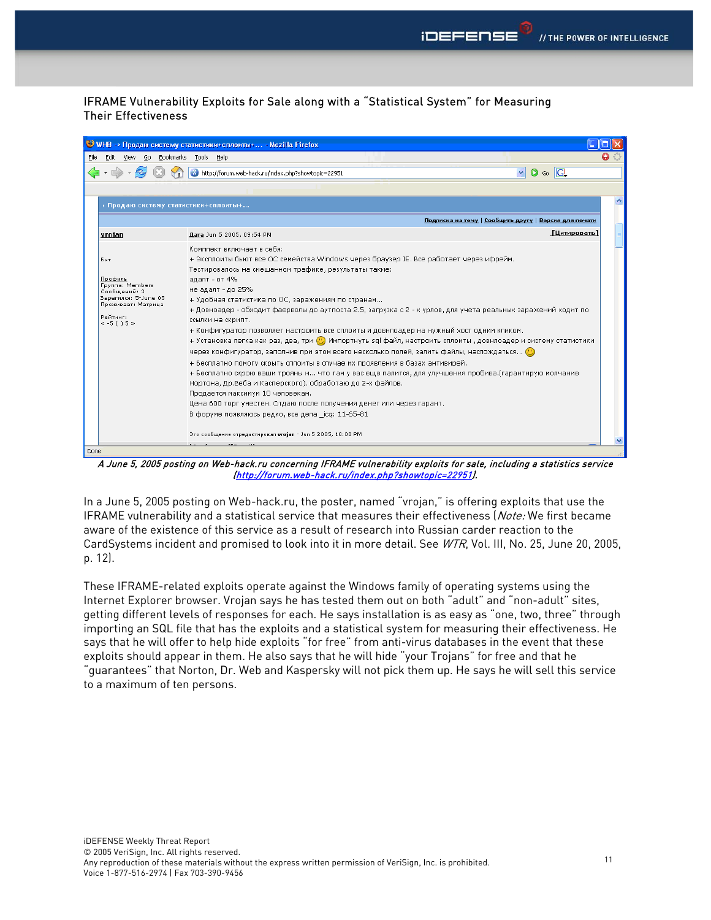## IFRAME Vulnerability Exploits for Sale along with a "Statistical System" for Measuring Their Effectiveness



A June 5, 2005 posting on Web-hack.ru concerning IFRAME vulnerability exploits for sale, including a statistics service (http://forum.web-hack.ru/index.php?showtopic=22951).

In a June 5, 2005 posting on Web-hack.ru, the poster, named "vrojan," is offering exploits that use the IFRAME vulnerability and a statistical service that measures their effectiveness (Note: We first became aware of the existence of this service as a result of research into Russian carder reaction to the CardSystems incident and promised to look into it in more detail. See WTR, Vol. III, No. 25, June 20, 2005, p. 12).

These IFRAME-related exploits operate against the Windows family of operating systems using the Internet Explorer browser. Vrojan says he has tested them out on both "adult" and "non-adult" sites, getting different levels of responses for each. He says installation is as easy as "one, two, three" through importing an SQL file that has the exploits and a statistical system for measuring their effectiveness. He says that he will offer to help hide exploits "for free" from anti-virus databases in the event that these exploits should appear in them. He also says that he will hide "your Trojans" for free and that he "guarantees" that Norton, Dr. Web and Kaspersky will not pick them up. He says he will sell this service to a maximum of ten persons.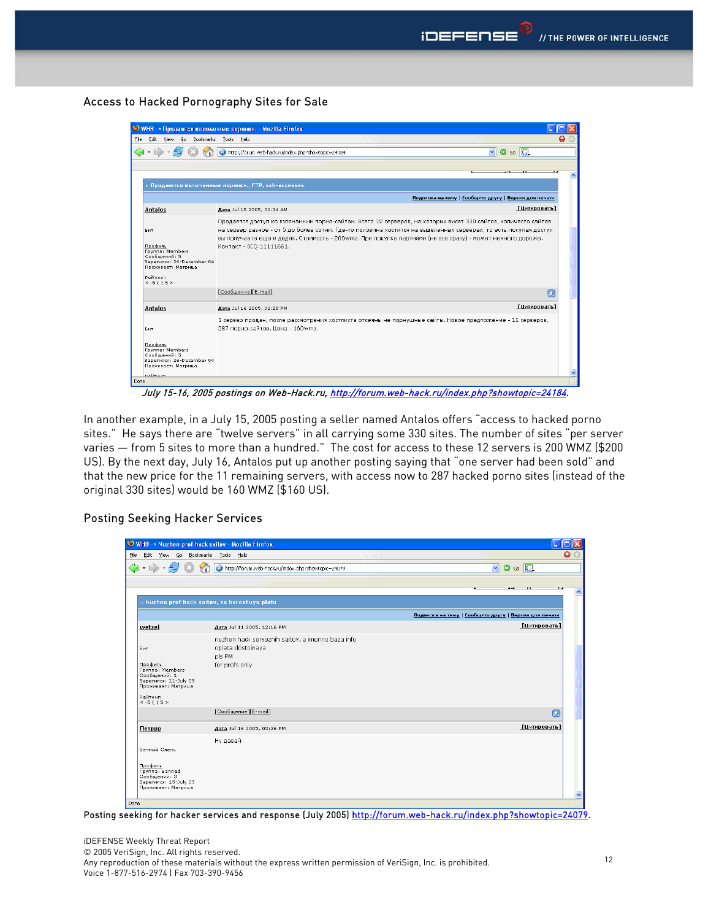#### Access to Hacked Pornography Sites for Sale

WHB -> Продаются взломанные порники. - Mozilla Firefox **TE** .<br>File Edit View Go Bookmarks Tools Help  $\bullet$  $\bullet$  6  $\overline{G}$ Подписка на тему | Сообщить другу | Версия для печати Aara Jul 15 2005, 02:34 AM [Цитировать] Antalos Продается доступ ко взломанным порно-сайтам. Всего 12 серверов, на которых висят 330 сайтов, количесто сайтов Бит на сервер разное - от 5 до более сотни. Где-то половина хостится на выделенных серверах, то есть покупая доступ вы получаете еще и дедик. Стоимость - 200wmz. При покупке партиями (не все сразу) - может немного дороже. <u>Профиль</u><br>Группа: Members<br>Сообщений: 5<br>Зарегился: 26-December 04<br>Проживает: Матрица Контакт - ICO:11111661. Рейтинг:<br>< -5 ( ) 5 > [Сообщение][E-mail]  $\overline{a}$ [Цитировать] Antalos Aara Jul 16 2005, 02:20 PM 1 сервер продан, после рассмотрения хостлиста отсеяны не порнушные сайты. Новое предложение - 11 серверов, Бит 287 порно-сайтов. Цена - 160wmz <u>Профиль</u><br>Группа: Members<br>Сообщений: 5 -<br>Зарегился: 26-December 04<br>Проживает: Матрица

July 15-16, 2005 postings on Web-Hack.ru, http://forum.web-hack.ru/index.php?showtopic=24184.

In another example, in a July 15, 2005 posting a seller named Antalos offers "access to hacked porno sites." He says there are "twelve servers" in all carrying some 330 sites. The number of sites "per server varies — from 5 sites to more than a hundred." The cost for access to these 12 servers is 200 WMZ (\$200 US). By the next day, July 16, Antalos put up another posting saying that "one server had been sold" and that the new price for the 11 remaining servers, with access now to 287 hacked porno sites (instead of the original 330 sites) would be 160 WMZ (\$160 US).

#### Posting Seeking Hacker Services

| WHB -> Nuzhen prof hack saitov - Mozilla Firefox                                                                                 |                                                                                                   |                                                       |
|----------------------------------------------------------------------------------------------------------------------------------|---------------------------------------------------------------------------------------------------|-------------------------------------------------------|
| Edit View Go Bookmarks Tools Help<br>Eile                                                                                        |                                                                                                   |                                                       |
| $\cdot \Rightarrow \cdot \in \mathbb{G}$                                                                                         | http://forum.web-hack.ru/index.php?showtopic=24079                                                | $\circ$ Go $\Box$<br>$\blacktriangledown$             |
|                                                                                                                                  |                                                                                                   |                                                       |
|                                                                                                                                  | > Nuzhen prof hack saitov, za horoshuyu platu                                                     |                                                       |
|                                                                                                                                  |                                                                                                   | Подписка на тему   Сообщить другу   Версия для печати |
| wetzel                                                                                                                           | Aara Jul 11 2005, 12:16 PM                                                                        | [Цитировать]                                          |
| Бит<br>Профиль<br><b>Fpynna: Members</b><br>Сообщений: 1<br>Зарегился: 11-July 05<br>Проживает: Матрица<br>Рейтинг:<br>$<-5()5>$ | nuzhen hack seryeznih saitov, a imenno baza info<br>oplata dostoinaya<br>pls PM<br>for profs only |                                                       |
|                                                                                                                                  | [Сообщение][E-mail]                                                                               | σ                                                     |
| Петррр                                                                                                                           | Дата Jul 16 2005, 03:26 PM                                                                        | [Цитировать]                                          |
| Вечный Олень<br>Профиль<br><b>Fpynna: Banned</b><br>Сообщений: 3<br>Зарегился: 15-July 05<br>Проживает: Матрица                  | Ну давай                                                                                          |                                                       |
| Done                                                                                                                             |                                                                                                   |                                                       |

Posting seeking for hacker services and response (July 2005) http://forum.web-hack.ru/index.php?showtopic=24079.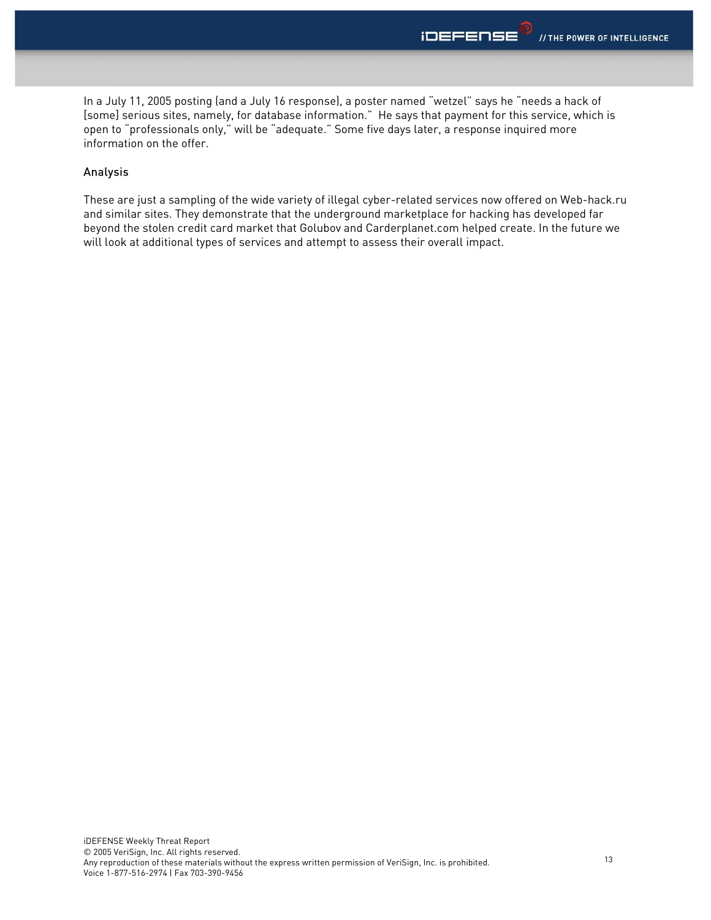In a July 11, 2005 posting (and a July 16 response), a poster named "wetzel" says he "needs a hack of [some] serious sites, namely, for database information." He says that payment for this service, which is open to "professionals only," will be "adequate." Some five days later, a response inquired more information on the offer.

### Analysis

These are just a sampling of the wide variety of illegal cyber-related services now offered on Web-hack.ru and similar sites. They demonstrate that the underground marketplace for hacking has developed far beyond the stolen credit card market that Golubov and Carderplanet.com helped create. In the future we will look at additional types of services and attempt to assess their overall impact.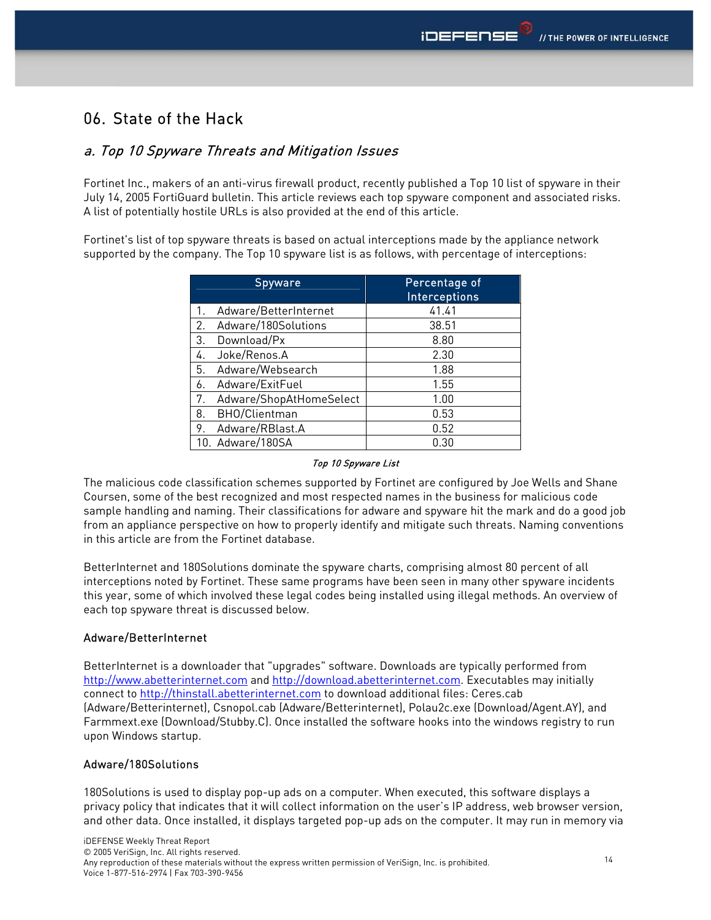# 06. State of the Hack

# a. Top 10 Spyware Threats and Mitigation Issues

Fortinet Inc., makers of an anti-virus firewall product, recently published a Top 10 list of spyware in their July 14, 2005 FortiGuard bulletin. This article reviews each top spyware component and associated risks. A list of potentially hostile URLs is also provided at the end of this article.

Fortinet's list of top spyware threats is based on actual interceptions made by the appliance network supported by the company. The Top 10 spyware list is as follows, with percentage of interceptions:

| <b>Spyware</b>                | Percentage of<br><b>Interceptions</b> |
|-------------------------------|---------------------------------------|
| Adware/BetterInternet<br>1.   | 41.41                                 |
| 2.<br>Adware/180Solutions     | 38.51                                 |
| Download/Px<br>3.             | 8.80                                  |
| Joke/Renos.A<br>4.            | 2.30                                  |
| Adware/Websearch<br>5.        | 1.88                                  |
| Adware/ExitFuel<br>6.         | 1.55                                  |
| Adware/ShopAtHomeSelect<br>7. | 1.00                                  |
| BHO/Clientman<br>8.           | 0.53                                  |
| Adware/RBlast.A<br>9.         | 0.52                                  |
| 10. Adware/180SA              | 0.30                                  |

#### Top 10 Spyware List

The malicious code classification schemes supported by Fortinet are configured by Joe Wells and Shane Coursen, some of the best recognized and most respected names in the business for malicious code sample handling and naming. Their classifications for adware and spyware hit the mark and do a good job from an appliance perspective on how to properly identify and mitigate such threats. Naming conventions in this article are from the Fortinet database.

BetterInternet and 180Solutions dominate the spyware charts, comprising almost 80 percent of all interceptions noted by Fortinet. These same programs have been seen in many other spyware incidents this year, some of which involved these legal codes being installed using illegal methods. An overview of each top spyware threat is discussed below.

## Adware/BetterInternet

BetterInternet is a downloader that "upgrades" software. Downloads are typically performed from http://www.abetterinternet.com and http://download.abetterinternet.com. Executables may initially connect to http://thinstall.abetterinternet.com to download additional files: Ceres.cab (Adware/Betterinternet), Csnopol.cab (Adware/Betterinternet), Polau2c.exe (Download/Agent.AY), and Farmmext.exe (Download/Stubby.C). Once installed the software hooks into the windows registry to run upon Windows startup.

#### Adware/180Solutions

180Solutions is used to display pop-up ads on a computer. When executed, this software displays a privacy policy that indicates that it will collect information on the user's IP address, web browser version, and other data. Once installed, it displays targeted pop-up ads on the computer. It may run in memory via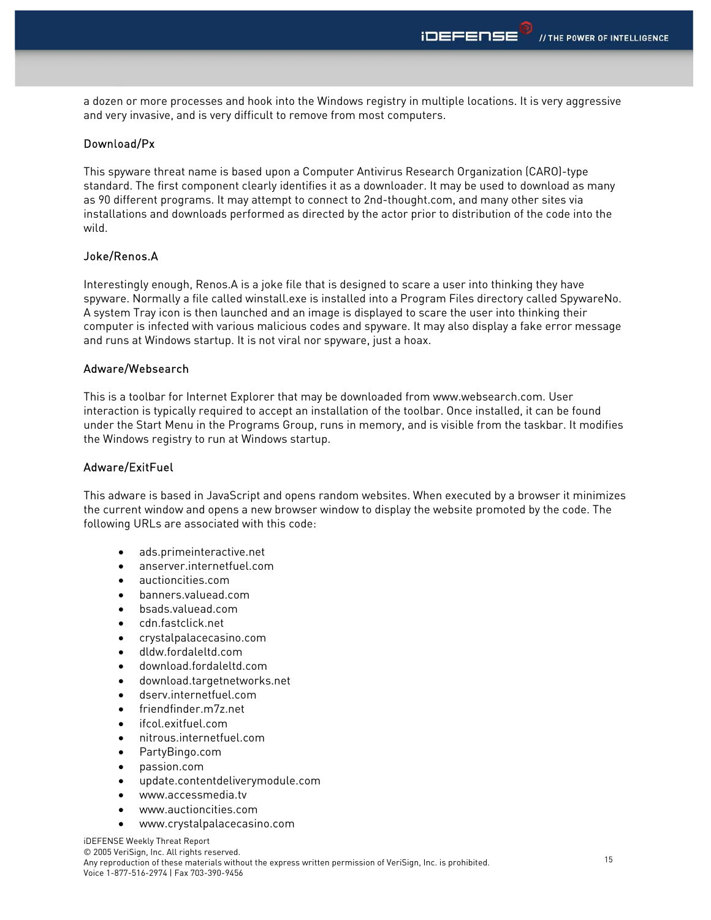a dozen or more processes and hook into the Windows registry in multiple locations. It is very aggressive and very invasive, and is very difficult to remove from most computers.

### Download/Px

This spyware threat name is based upon a Computer Antivirus Research Organization (CARO)-type standard. The first component clearly identifies it as a downloader. It may be used to download as many as 90 different programs. It may attempt to connect to 2nd-thought.com, and many other sites via installations and downloads performed as directed by the actor prior to distribution of the code into the wild.

### Joke/Renos.A

Interestingly enough, Renos.A is a joke file that is designed to scare a user into thinking they have spyware. Normally a file called winstall.exe is installed into a Program Files directory called SpywareNo. A system Tray icon is then launched and an image is displayed to scare the user into thinking their computer is infected with various malicious codes and spyware. It may also display a fake error message and runs at Windows startup. It is not viral nor spyware, just a hoax.

#### Adware/Websearch

This is a toolbar for Internet Explorer that may be downloaded from www.websearch.com. User interaction is typically required to accept an installation of the toolbar. Once installed, it can be found under the Start Menu in the Programs Group, runs in memory, and is visible from the taskbar. It modifies the Windows registry to run at Windows startup.

#### Adware/ExitFuel

This adware is based in JavaScript and opens random websites. When executed by a browser it minimizes the current window and opens a new browser window to display the website promoted by the code. The following URLs are associated with this code:

- ads.primeinteractive.net
- anserver.internetfuel.com
- auctioncities.com
- banners.valuead.com
- bsads.valuead.com
- cdn.fastclick.net
- crystalpalacecasino.com
- dldw.fordaleltd.com
- download.fordaleltd.com
- download.targetnetworks.net
- dserv.internetfuel.com
- friendfinder.m7z.net
- ifcol.exitfuel.com
- nitrous.internetfuel.com
- PartyBingo.com
- passion.com
- update.contentdeliverymodule.com
- www.accessmedia.tv
- www.auctioncities.com
- www.crystalpalacecasino.com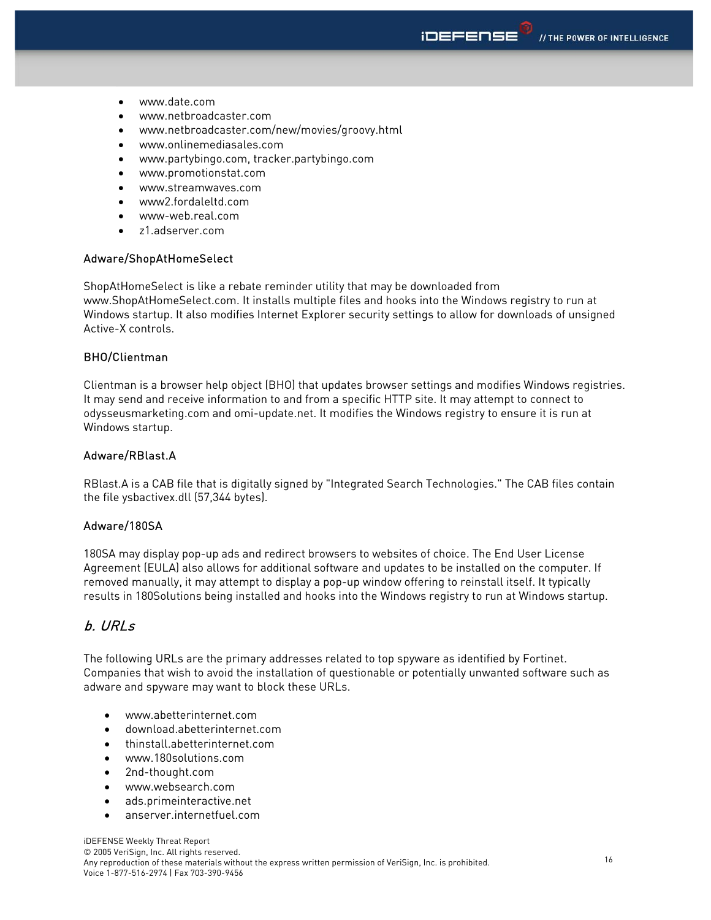- www.date.com
- www.netbroadcaster.com
- www.netbroadcaster.com/new/movies/groovy.html
- www.onlinemediasales.com
- www.partybingo.com, tracker.partybingo.com
- www.promotionstat.com
- www.streamwaves.com
- www2.fordaleltd.com
- www-web.real.com
- z1.adserver.com

#### Adware/ShopAtHomeSelect

ShopAtHomeSelect is like a rebate reminder utility that may be downloaded from www.ShopAtHomeSelect.com. It installs multiple files and hooks into the Windows registry to run at Windows startup. It also modifies Internet Explorer security settings to allow for downloads of unsigned Active-X controls.

#### BHO/Clientman

Clientman is a browser help object (BHO) that updates browser settings and modifies Windows registries. It may send and receive information to and from a specific HTTP site. It may attempt to connect to odysseusmarketing.com and omi-update.net. It modifies the Windows registry to ensure it is run at Windows startup.

## Adware/RBlast.A

RBlast.A is a CAB file that is digitally signed by "Integrated Search Technologies." The CAB files contain the file ysbactivex.dll (57,344 bytes).

### Adware/180SA

180SA may display pop-up ads and redirect browsers to websites of choice. The End User License Agreement (EULA) also allows for additional software and updates to be installed on the computer. If removed manually, it may attempt to display a pop-up window offering to reinstall itself. It typically results in 180Solutions being installed and hooks into the Windows registry to run at Windows startup.

## b. URLs

The following URLs are the primary addresses related to top spyware as identified by Fortinet. Companies that wish to avoid the installation of questionable or potentially unwanted software such as adware and spyware may want to block these URLs.

- www.abetterinternet.com
- download.abetterinternet.com
- thinstall.abetterinternet.com
- www.180solutions.com
- 2nd-thought.com
- www.websearch.com
- ads.primeinteractive.net
- anserver.internetfuel.com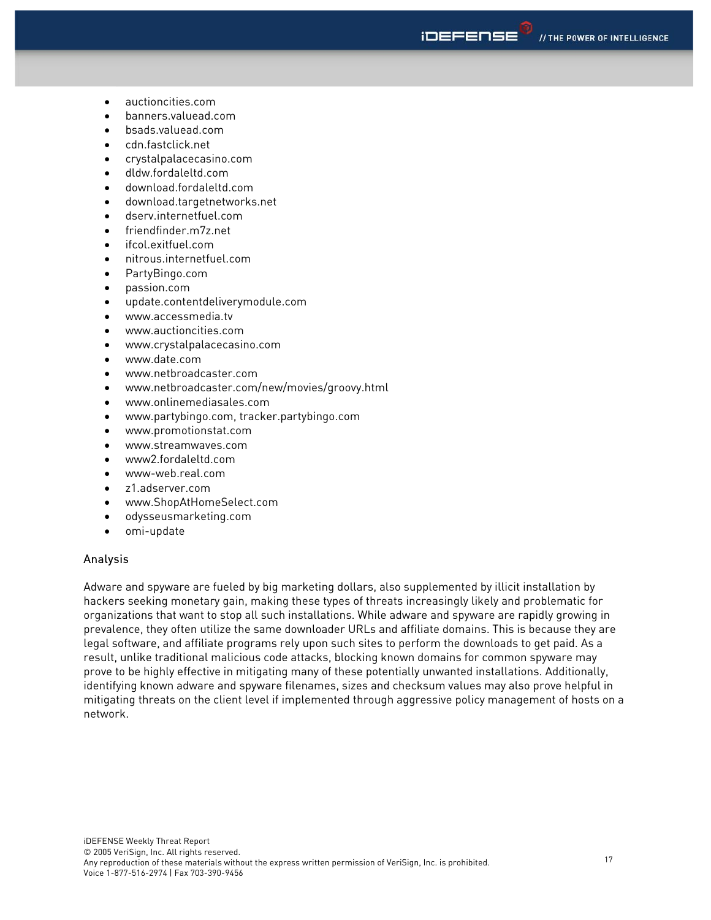- auctioncities.com
- banners.valuead.com
- bsads.valuead.com
- cdn.fastclick.net
- crystalpalacecasino.com
- dldw.fordaleltd.com
- download.fordaleltd.com
- download.targetnetworks.net
- dserv.internetfuel.com
- friendfinder.m7z.net
- ifcol.exitfuel.com
- nitrous.internetfuel.com
- PartyBingo.com
- passion.com
- update.contentdeliverymodule.com
- www.accessmedia.tv
- www.auctioncities.com
- www.crystalpalacecasino.com
- www.date.com
- www.netbroadcaster.com
- www.netbroadcaster.com/new/movies/groovy.html
- www.onlinemediasales.com
- www.partybingo.com, tracker.partybingo.com
- www.promotionstat.com
- www.streamwaves.com
- www2.fordaleltd.com
- www-web.real.com
- z1.adserver.com
- www.ShopAtHomeSelect.com
- odysseusmarketing.com
- omi-update

#### Analysis

Adware and spyware are fueled by big marketing dollars, also supplemented by illicit installation by hackers seeking monetary gain, making these types of threats increasingly likely and problematic for organizations that want to stop all such installations. While adware and spyware are rapidly growing in prevalence, they often utilize the same downloader URLs and affiliate domains. This is because they are legal software, and affiliate programs rely upon such sites to perform the downloads to get paid. As a result, unlike traditional malicious code attacks, blocking known domains for common spyware may prove to be highly effective in mitigating many of these potentially unwanted installations. Additionally, identifying known adware and spyware filenames, sizes and checksum values may also prove helpful in mitigating threats on the client level if implemented through aggressive policy management of hosts on a network.

**IDEFEDSE**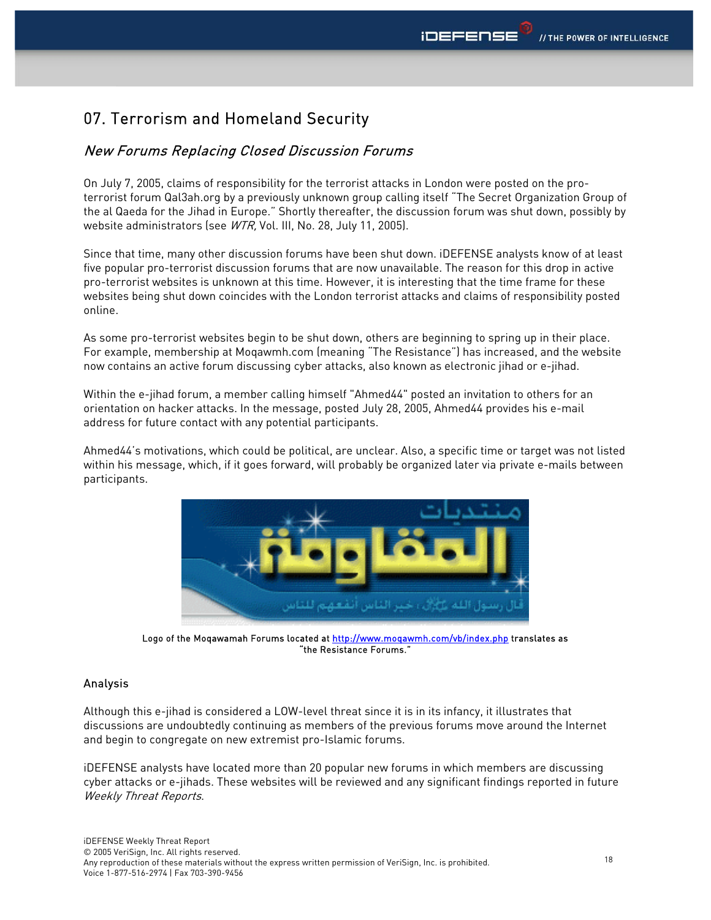# 07. Terrorism and Homeland Security

# New Forums Replacing Closed Discussion Forums

On July 7, 2005, claims of responsibility for the terrorist attacks in London were posted on the proterrorist forum Qal3ah.org by a previously unknown group calling itself "The Secret Organization Group of the al Qaeda for the Jihad in Europe." Shortly thereafter, the discussion forum was shut down, possibly by website administrators (see WTR, Vol. III, No. 28, July 11, 2005).

Since that time, many other discussion forums have been shut down. iDEFENSE analysts know of at least five popular pro-terrorist discussion forums that are now unavailable. The reason for this drop in active pro-terrorist websites is unknown at this time. However, it is interesting that the time frame for these websites being shut down coincides with the London terrorist attacks and claims of responsibility posted online.

As some pro-terrorist websites begin to be shut down, others are beginning to spring up in their place. For example, membership at Moqawmh.com (meaning "The Resistance") has increased, and the website now contains an active forum discussing cyber attacks, also known as electronic jihad or e-jihad.

Within the e-jihad forum, a member calling himself "Ahmed44" posted an invitation to others for an orientation on hacker attacks. In the message, posted July 28, 2005, Ahmed44 provides his e-mail address for future contact with any potential participants.

Ahmed44's motivations, which could be political, are unclear. Also, a specific time or target was not listed within his message, which, if it goes forward, will probably be organized later via private e-mails between participants.



Logo of the Moqawamah Forums located at http://www.moqawmh.com/vb/index.php translates as "the Resistance Forums."

## Analysis

Although this e-jihad is considered a LOW-level threat since it is in its infancy, it illustrates that discussions are undoubtedly continuing as members of the previous forums move around the Internet and begin to congregate on new extremist pro-Islamic forums.

iDEFENSE analysts have located more than 20 popular new forums in which members are discussing cyber attacks or e-jihads. These websites will be reviewed and any significant findings reported in future Weekly Threat Reports.